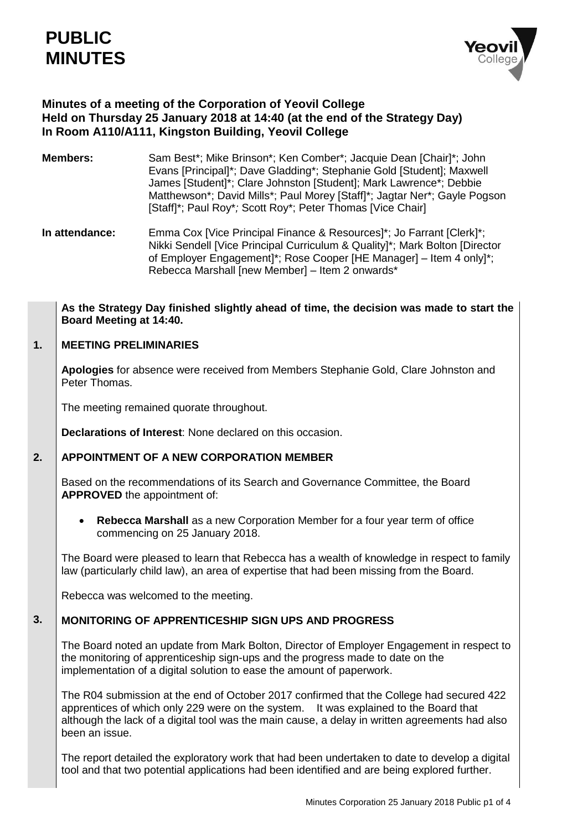

# **Minutes of a meeting of the Corporation of Yeovil College Held on Thursday 25 January 2018 at 14:40 (at the end of the Strategy Day) In Room A110/A111, Kingston Building, Yeovil College**

- **Members:** Sam Best\*; Mike Brinson\*; Ken Comber\*; Jacquie Dean [Chair]\*; John Evans [Principal]\*; Dave Gladding\*; Stephanie Gold [Student]; Maxwell James [Student]\*; Clare Johnston [Student]; Mark Lawrence\*; Debbie Matthewson\*; David Mills\*; Paul Morey [Staff]\*; Jagtar Ner\*; Gayle Pogson [Staff]\*; Paul Roy\**;* Scott Roy\*; Peter Thomas [Vice Chair]
- **In attendance:** Emma Cox [Vice Principal Finance & Resources]\*; Jo Farrant [Clerk]\*; Nikki Sendell [Vice Principal Curriculum & Quality]\*; Mark Bolton [Director of Employer Engagement]\*; Rose Cooper [HE Manager] – Item 4 only]\*; Rebecca Marshall [new Member] – Item 2 onwards\*

## **As the Strategy Day finished slightly ahead of time, the decision was made to start the Board Meeting at 14:40.**

### **1. MEETING PRELIMINARIES**

**Apologies** for absence were received from Members Stephanie Gold, Clare Johnston and Peter Thomas.

The meeting remained quorate throughout.

**Declarations of Interest**: None declared on this occasion.

### **2. APPOINTMENT OF A NEW CORPORATION MEMBER**

Based on the recommendations of its Search and Governance Committee, the Board **APPROVED** the appointment of:

 **Rebecca Marshall** as a new Corporation Member for a four year term of office commencing on 25 January 2018.

The Board were pleased to learn that Rebecca has a wealth of knowledge in respect to family law (particularly child law), an area of expertise that had been missing from the Board.

Rebecca was welcomed to the meeting.

## **3. MONITORING OF APPRENTICESHIP SIGN UPS AND PROGRESS**

The Board noted an update from Mark Bolton, Director of Employer Engagement in respect to the monitoring of apprenticeship sign-ups and the progress made to date on the implementation of a digital solution to ease the amount of paperwork.

The R04 submission at the end of October 2017 confirmed that the College had secured 422 apprentices of which only 229 were on the system. It was explained to the Board that although the lack of a digital tool was the main cause, a delay in written agreements had also been an issue.

The report detailed the exploratory work that had been undertaken to date to develop a digital tool and that two potential applications had been identified and are being explored further.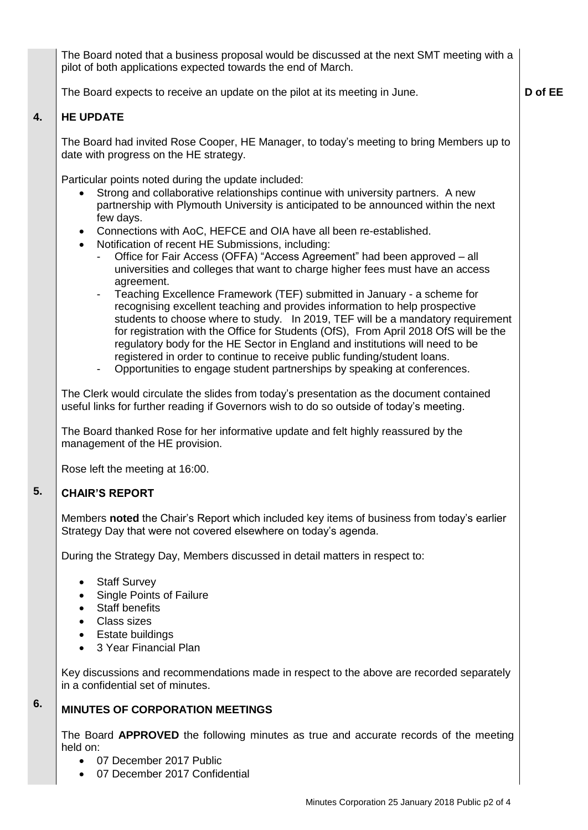The Board noted that a business proposal would be discussed at the next SMT meeting with a pilot of both applications expected towards the end of March.

**D of EE**

The Board expects to receive an update on the pilot at its meeting in June.

### **4. HE UPDATE**

The Board had invited Rose Cooper, HE Manager, to today's meeting to bring Members up to date with progress on the HE strategy.

Particular points noted during the update included:

- Strong and collaborative relationships continue with university partners. A new partnership with Plymouth University is anticipated to be announced within the next few days.
- Connections with AoC, HEFCE and OIA have all been re-established.
- Notification of recent HE Submissions, including:
	- Office for Fair Access (OFFA) "Access Agreement" had been approved all universities and colleges that want to charge higher fees must have an access agreement.
	- Teaching Excellence Framework (TEF) submitted in January a scheme for recognising excellent teaching and provides information to help prospective students to choose where to study. In 2019, TEF will be a mandatory requirement for registration with the Office for Students (OfS), From April 2018 OfS will be the regulatory body for the HE Sector in England and institutions will need to be registered in order to continue to receive public funding/student loans.
	- Opportunities to engage student partnerships by speaking at conferences.

The Clerk would circulate the slides from today's presentation as the document contained useful links for further reading if Governors wish to do so outside of today's meeting.

The Board thanked Rose for her informative update and felt highly reassured by the management of the HE provision.

Rose left the meeting at 16:00.

### **5. CHAIR'S REPORT**

Members **noted** the Chair's Report which included key items of business from today's earlier Strategy Day that were not covered elsewhere on today's agenda.

During the Strategy Day, Members discussed in detail matters in respect to:

- Staff Survey
- Single Points of Failure
- Staff benefits
- Class sizes

**6.**

- Estate buildings
- 3 Year Financial Plan

Key discussions and recommendations made in respect to the above are recorded separately in a confidential set of minutes.

# **MINUTES OF CORPORATION MEETINGS**

The Board **APPROVED** the following minutes as true and accurate records of the meeting held on:

- 07 December 2017 Public
- 07 December 2017 Confidential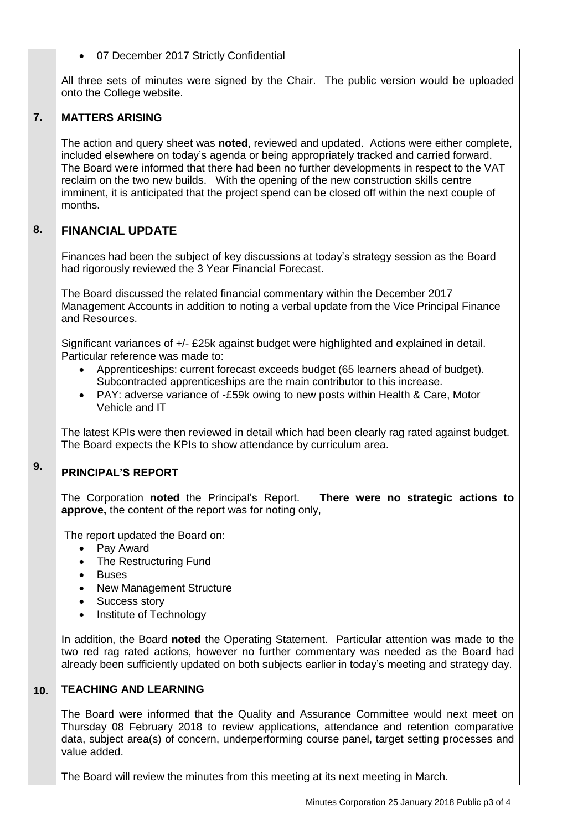# 07 December 2017 Strictly Confidential

All three sets of minutes were signed by the Chair. The public version would be uploaded onto the College website.

### **7. MATTERS ARISING**

The action and query sheet was **noted**, reviewed and updated. Actions were either complete, included elsewhere on today's agenda or being appropriately tracked and carried forward. The Board were informed that there had been no further developments in respect to the VAT reclaim on the two new builds. With the opening of the new construction skills centre imminent, it is anticipated that the project spend can be closed off within the next couple of months.

### **8. FINANCIAL UPDATE**

Finances had been the subject of key discussions at today's strategy session as the Board had rigorously reviewed the 3 Year Financial Forecast.

The Board discussed the related financial commentary within the December 2017 Management Accounts in addition to noting a verbal update from the Vice Principal Finance and Resources.

Significant variances of +/- £25k against budget were highlighted and explained in detail. Particular reference was made to:

- Apprenticeships: current forecast exceeds budget (65 learners ahead of budget). Subcontracted apprenticeships are the main contributor to this increase.
- PAY: adverse variance of -£59k owing to new posts within Health & Care, Motor Vehicle and IT

The latest KPIs were then reviewed in detail which had been clearly rag rated against budget. The Board expects the KPIs to show attendance by curriculum area.

## **9. PRINCIPAL'S REPORT**

The Corporation **noted** the Principal's Report. **There were no strategic actions to approve,** the content of the report was for noting only,

The report updated the Board on:

- Pay Award
- The Restructuring Fund
- Buses
- New Management Structure
- Success story
- Institute of Technology

In addition, the Board **noted** the Operating Statement. Particular attention was made to the two red rag rated actions, however no further commentary was needed as the Board had already been sufficiently updated on both subjects earlier in today's meeting and strategy day.

### **10. TEACHING AND LEARNING**

The Board were informed that the Quality and Assurance Committee would next meet on Thursday 08 February 2018 to review applications, attendance and retention comparative data, subject area(s) of concern, underperforming course panel, target setting processes and value added.

The Board will review the minutes from this meeting at its next meeting in March.